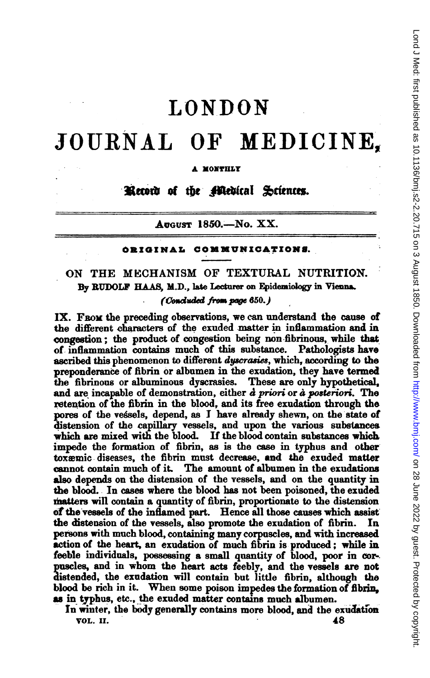## $LONDOM$

# JOURNAL OF MEDICINE,

A MONTHLY

Record of the **filedical** Sciences.

August  $1850 - No. XX$ .

#### ORIGINAL COXXUNICATIONE.

## ON THE MECHANISM OF TEXTURAL NUTRITION. By RUDOLF HAAS, M.D., late Lecturer on Epidemiology in Vienna.

 $(Concluded from page 650.)$ 

IX. From the preceding observations, we can understand the cause of the different characters of the exuded matter in inflammation and in congestion; the product of congestion being non fibrinous, while that of inflammation contains much of this substance. Pathologists have of inflammation contains much of this substance. ascribed this phenomenon to different dyscrasies, which, according to the preponlderance of fibrin or albumen in the exudation, they have termed the fibrinons or albuminous dyscrasies. These are only hypothetical. and are incapable of demonstration, either  $d$  priori or  $d$  posteriori. The retention of the fibrin im the blood, and its free exudation through the pores of the vessels, depend, as I have already shewn, on the state of distension of the capillary vessels, and upon the various substances which are mixed with the blood. If the blood contain substances which impede the formation of fibrin, as is the case in typhus and other toxemic diseases, the fibrin must decrease, and the exuded matter cannot contain much of it. The amount of albumen in the exudations also depends on the distension of the vessels, and on the quantity in the blood. In cases where the blood has not been poisoned, the exuded matters will contain a quantity of fibrin, proportionate to the distension of the vessels of the inflamed part. Hence all those causes which assist the distension of the vessels, also promote the exudation of fibrin. In persons with much blood, containing many corpuscles, and with increased action of the heart, an exudation of much fibrin is produced; while in feeble individuals, possessing a small quantity of blood, poor in cor-. puscles, and in whom the heart acts feebly, and the vessels are not distended, the exudation will contain but little fibrin, although the blood be rich in it. When some poison impedes the formation of fibrin, as in typbus, etc., the exuded matter contains much albumen.

In winter, the body generally contains more blood, and the exudation vol. II.  $48$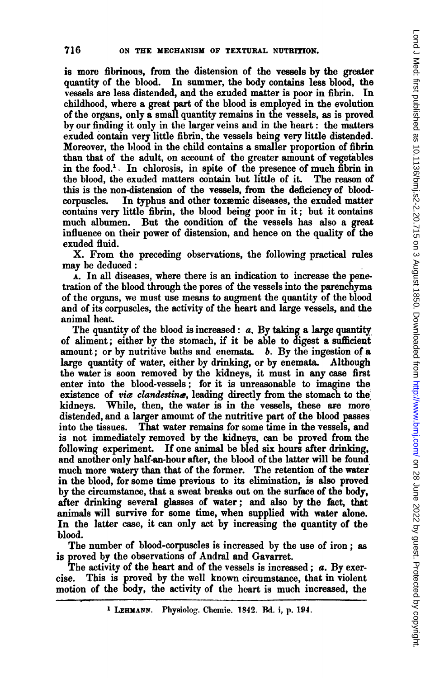is more fibrinous, from the distension of the vessels by the greater quantity of the blood. In summer, the body contains less blood, the vessels are less distended, and the exuded matter is poor in fibrin. In childhood, where a great part of the blood is employed in the evolution of the organs, only a small quantity remains in the vessels, as is proved by our finding it only in the larger veins and in the heart: the matters exuded contain very little fibrin, the vessels being very little distended. Moreover, the blood in the child contains a smaller proportion of fibrin than that of the adult, on account of the greater amount of vegetables in the food.<sup>1</sup> In chlorosis, in spite of the presence of much fibrin in the blood, the exuded matters contain but little of it. The reason of the blood, the exuded matters contain but little of it. this is the non-distension of the vessels, fiom the deficiency of bloodcorpuscles. In typhus and other toxsemic diseases, the exuded matter contains very little fibrin, the blood being poor in it; but it contains much albumen. But the condition of the vessels has also a great influence on their power of distension, and hence on the quality of the exuded fluid.

X. From the preceding observations, the following practical rules may be deduced:

A. In all diseases, where there is an indication to increase the penetration of the blood through the pores of the vessels into the parenchyma of the organs, we must use means to augment the quantity of the blood and of its corpuscles, the activity of the heart and large vessels, and the animal heat.

The quantity of the blood is increased:  $a$ , By taking a large quantity of aliment; either by the stomach, if it be able to digest a sufficient amount; or by nutritive baths and enemata.  $\boldsymbol{b}$ . By the ingestion of a large quantity of water, either by drinking, or by enemata. Although the water is soon removed by the kidneys, it must in any Case first enter into the blood-vessels; for it is unreasonable to imagine the existence of *via* clandestine, leading directly from the stomach to the kidneys. While, then, the water is in the vessels, these are more distended, and a larger amount of the nutritive part of the blood passes into the tissues. That water remains for some time in the vessels, and is not immediately removed by the kidneys, can be proved from the following experiment. If one animal be bled six hours after drinking. If one animal be bled six hours after drinking, and another only half-an-hour after, the blood of the latter will be found much more watery than that of the former. The retention of the water in the blood, for some time previous to its elimination, is also proved by the circumstance, that a sweat breaks out on the surface of the body, after drinking several glasses of water; and also by the fact, that anmals will survive for some time, when supplied with water alone. In the latter case, it can only act by increasing the quantity of the blood.

The number of blood-corpuscles is increased by the use of iron; as is proved by the observations of Andral and Gavarret.

The activity of the heart and of the vessels is increased; a. By exercise. This is proved by the well known circumstance, that in violent motion of the body, the activity of the heart is much increased, the

<sup>I</sup>LEHMANN. Physiolog,. Chemie. 1842. Rd. i, p. 194.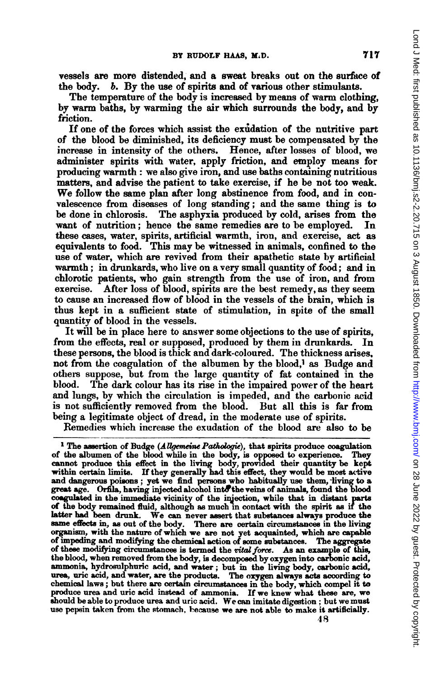vessels are more distended, and a sweat breaks out on the surface of the body.  $b$ . By the use of spirits and of various other stimulants.

The temperature of the body is increased by means of warm clothing, by warm baths, by warming the air which surrounds the body, and by friction.

If one of the forces which assist the exddation of the nutritive part of the blood be diminished, its deficiency must be compensated by the increase in intensity of the others. Hence, after losses of blood, we administer spirits with water, apply friction, and employ means for producing warmth: we also give iron, and use baths containing nutritious matters, and advise the patient to take exercise, if he be not too weak. We follow the same plan after long abstinence from food, and in convalescence from diseases of long standing; and the same thing is to be done in chlorosis. The asphyxia produced by cold, arises from the want of nutrition; hence the same remedies are to be employed. In these cases, water, spirits, artificial warmth, iron, and exercise, act as equivalents to food. This may be witnessed in animals, confined to the use of water, which are revived from their apathetic state by artificial warmth; in drunkards, who live on a very small quantity of food; and in chlorotic patients, who gain strength from the use of iron, and from exercise. After loss of blood, spirits are the best remedy, as they seem to cause an increased flow of blood in the vessels of the brain, which is thus kept in a sufficient state of stimulation, in spite of the small quantity of blood in the vessels.

It will be in place here to answer some objections to the use of spirits, from the effects, real or supposed, produced by them in drunkards. In these persons, the blood is thick and dark-coloured. The thickness arises, not from the coagulation of the albumen by the blood,<sup>1</sup> as Budge and others suppose, but from the large quantity of fat contained in the blood. The dark colour has its rise in the impaired power of the heart and lungs, by which the circulation is impeded, and the carbonic acid is not sufficiently removed from the blood. But all this is far from being a legitimate object of dread, in the moderate use of spirits.

Remedies which increase the exudation of the blood are also to be

<sup>&</sup>lt;sup>1</sup> The assertion of Budge (*Allgemeine Pathologie*), that spirits produce coagulation of the albumen of the blood while in the body, is opposed to experience. They cannot produce this effect in the living body, provided their quantity be kept within certain limits. If they generally had this effect, they would be most active and dangerous poisons; yet we find persons who habitually use them, living to a great age. Orfila, having injected alcohol into the veins of animals, found the blood coagulated in the immediate vicinity of the injection, while that in distant parts of the body remained fluid, although as much in contact with the spirit as if the latter had been drunk. We can never assert that substances always produce the We can never assert that substances always produce the same effects in, as out of the body. There are certain circumstances in the living organism, with the nature of which we are not yet acquainted, which are capable of impeding and modifying the chemical action of some substances. The aggregate of these modifying circumstances is termed the *vital force*. As an example of this, the blood, when removed from the body, is decomposed by oxygen into carbonic acid, ammonia, hydrosulphuric acid, and water; but in the living body, carbonic acid, urea, uric acid, and water, are the products. The oxygen always acts according to chemical laws; but there are certain circumstances in the body, which compel it to produce urea and uric acid instead of ammonia. If we knew what these are, we should be able to produce urea and uric acid. We can imitate digestion ; but we must use pepsin taken from the stomach, hecause we are not able to make it artificially.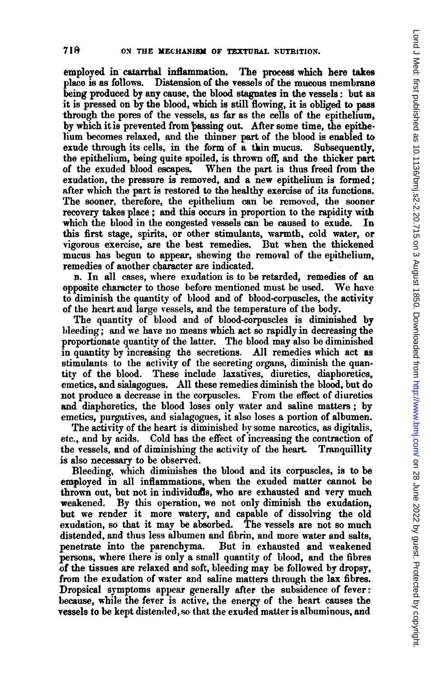employed in- catarrhal inflammation. The process which here takes place is as follows. Distension of the vessels of the mucous membrane being produced by any cause, the blood stagnates in the vessels: but as it is pressed on by the blood, which is still flowing, it is obliged to pass through the pores of the vessels, as far as the cells of the epithelium, by which it is prevented from passing out. After some time, the epitheium becomes relaxed, and the thinner part of the blood is enabled to exude through its cells, in the form of a thin mucus. Subsequently, the epithelium, being quite spoiled, is thrown off, and the thicker part of the exuded blood escapes. When the part is thus freed from the When the part is thus freed from the exudation, the pressure is removed, and a new epithelium is formed; after which the part is restored to the healthy exercise of its functions. The sooner, therefore, the epithelium can be removed, the sooner recovery takes place; and this occurs in proportion to the rapidity with which the blood in the congested vessels can be caused to exude. In this first stage, spirits, or other stimulanits, warmth, cold water, or vigorous exercise, are the best remedies. But when the thickened mucus has begun to appear, shewing the removal of the epithelium, remedies of another character are indicated.

B. In all cases, where exudation is to be retarded, remedies of an opposite character to those before mentioned must be used. We have to diminish the quantity of blood and of blood-corpuscles, the activity of the heart and large vessels, and the temperature of the body.

The quantity of blood and of blood-corpuscles is diminished by bleeding; and we have no means which act so rapidly in decreasing the proportionate quantity of the latter. The blood may also be diminished in quantity by increasing the secretions. All remedies which act as stimulants to the activity of the secreting organs, diminish the quantity of the blood. These include laxatives, diuretics, diaphoretics, emetics, and sialagogues. All these remedies diminish the blood, but do not produce a decrease in the corpuscles. From the effect of diuretics and diaphoretics, the blood loses only water and saline matters; by emetics, purgatives, and sialagogues, it also loses a portion of albumen.

Lond J Med: first published as 10.1136/bmj.s2-2.20.715 on 3 August 1850. Downloaded from http://www.bmj.com/ on 28 June 2022 by guest. Protected by copyright on 28 June 2022 by guest. Protected by copyright. <http://www.bmj.com/> Lond J Med: first published as 10.1136/bmj.s2-2.20.715 on 3 August 1850. Downloaded from

The activity of the heart is diminished by some narcotics, as digitalis, etc., and by acids. Cold has the effect of increasing the contraction of the vessels, and of diminishing the activity of the heart. Tranquillity is also necessary to be observed.

Bleeding, which diminishes the blood and its corpuscles, is to be employed in all inflammations, when the exuded matter cannot be thrown out, but not in individuds, who are exhausted and very much weakened. By this operation, we not only diminish the exudation, but we render it more watery, and capable of dissolving the old exudation, so that it may be absorbed. The vessels are not so much exudation, so that it may be absorbed. distended, and thus less albumen and fibrin, and more water and salts, penetrate into the parenchyma. But in exhausted and weakened persons, where there is only a small quantity of blood, and the fibres of the tissues are relaxed and soft, bleeding may be followed by dropsy, from the exudation of water and saline matters through the lax fibres. Dropsical symptoms appear generally after the subsidence of fever: because, while the fever is active, the energy of the heart causes the vessels to be kept distended, so that the exuded matter is albuminous, and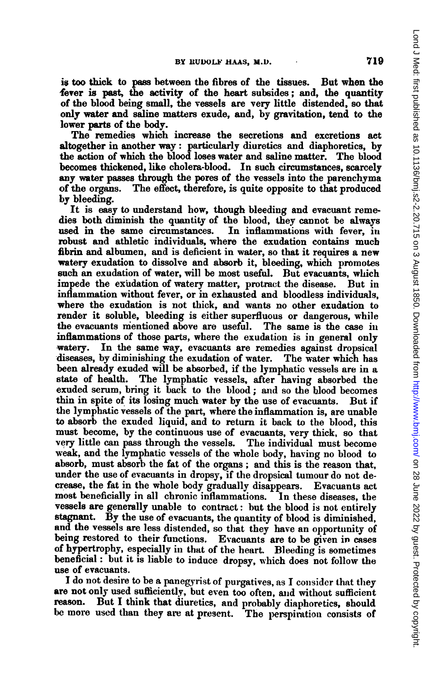is too thick to pass between the fibres of the tissues. But when the fever is past, the activity of the heart subsides; and, the quantity of the blood being small, the vessels are very little distended, so that only water and saline matters exude, and, by gravitation, tend to the lower parts of the body.

The remedies which increase the secretions and excretions act altogether in another way: particularly diuretics and diaphoretics, by the action of which the blood loses water and saline matter. The blood becomes thickened, like cholera-blood. In such circumstances, scarcely any water passes through the pores of the vessels into the parenchyma of the organs. The effect, therefore, is quite opposite to that produced The effect, therefore, is quite opposite to that produced by bleeding.

It is easy to understand how, though bleeding and evacuant remedies both diminish the quantity of the blood, they cannot be always used in the same circumstances. In inflammations with fever, in used in the same circumstances. robust and athletic individuals, where the exudation contains much fibrin and albumen, and is deficient in water, so that it requires a new watery exudation to dissolve and absorb it, bleeding, which promotes such an exudation of water, will be most useful. But evacuants, which impede the exudation of watery matter, protract the disease. But in inflammation without fever, or in exhausted and bloodless individuals, where the exudation is not thick, and wants no other exudation to render it soluble, bleeding is either superfluous or dangerous, while the evacuants mentioned above are useful. The same is the case in the evacuants mentioned above are useful. inflammations of those parts, where the exudation is in general only watery. In the same way, evacuants are remedies against dropsical diseases, by diminishing the exudation of water. The water which has been already exuded will be absorbed, if the lymphatic vessels are in a state of health. The lymphatic vessels, after having absorbed the The lymphatic vessels, after having absorbed the exuded serum, bring it back to the blood; and so the blood becomes thin in spite of its losing much water by the use of evacuants. But if the lymphatic vessels of the part, where the inflammation is, are unable to absorb the exuded liquid, and to return it back to the blood, this must become, by the continuous use of evacuants, very thick, so that very little can pass through the vessels. The individual must become weak, and the lymphatic vessels of the whole body, having no blood to absorb, must absorb the fat of the organs; and this is the reason that, under the use of evacuants in dropsy, if the dropsical tumour do not decrease, the fat in the whole body gradually disappears. Evacuants act most beneficially in all chronic inflammations. In these diseases, the vessels are generally unable to contract: but the blood is not entirely stagnant. By the use of evacuants, the quantity of blood is diminished, and the vessels are less distended, so that they have an opportunity of being restored to their functions. Evacuants are to be given in cases of hypertrophy, especially in that of the heart. Bleeding is sometimes beneficial: but it is liable to induce dropsy, which does not follow the use of evacuants.

I do not desire to be a panegyrist of purgatives, as I consider that they are not only used sufficiently, but even too often, and without sufficient reason. But I think that diuretics, and probably diaphoretics, should But I think that diuretics, and probably diaphoretics, should be more used than they are at present. The perspimation consists of